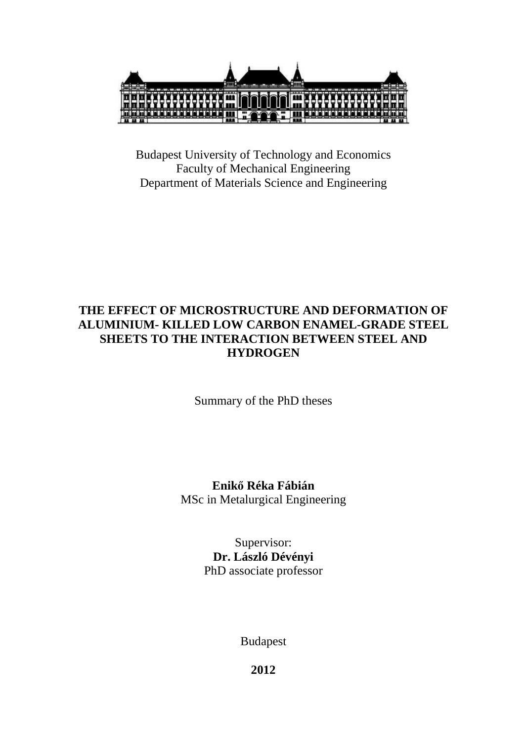

Budapest University of Technology and Economics Faculty of Mechanical Engineering Department of Materials Science and Engineering

# **THE EFFECT OF MICROSTRUCTURE AND DEFORMATION OF ALUMINIUM- KILLED LOW CARBON ENAMEL-GRADE STEEL SHEETS TO THE INTERACTION BETWEEN STEEL AND HYDROGEN**

Summary of the PhD theses

**Enikő Réka Fábián**  MSc in Metalurgical Engineering

> Supervisor: **Dr. László Dévényi**  PhD associate professor

> > Budapest

**2012**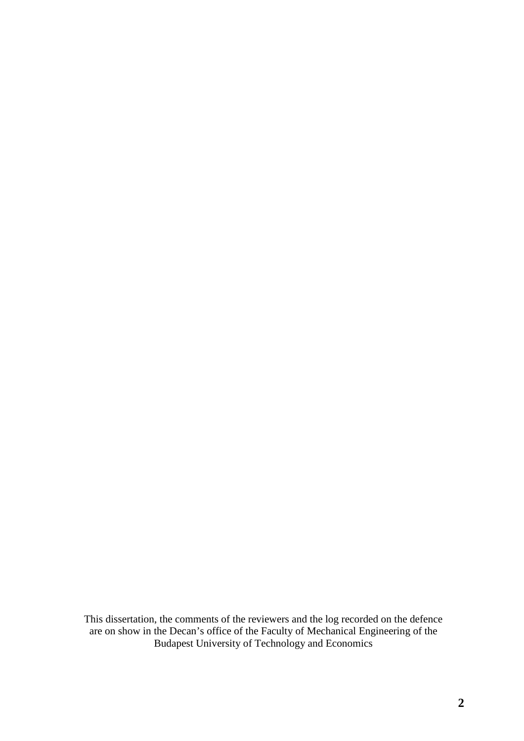This dissertation, the comments of the reviewers and the log recorded on the defence are on show in the Decan's office of the Faculty of Mechanical Engineering of the Budapest University of Technology and Economics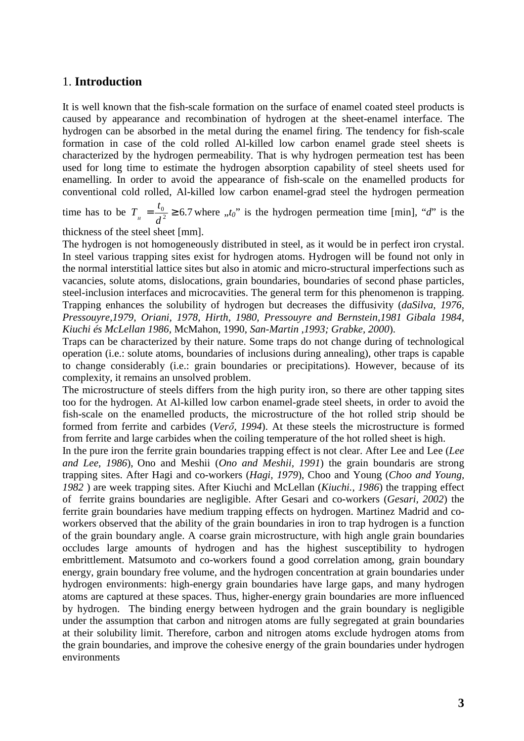### 1. **Introduction**

It is well known that the fish-scale formation on the surface of enamel coated steel products is caused by appearance and recombination of hydrogen at the sheet-enamel interface. The hydrogen can be absorbed in the metal during the enamel firing. The tendency for fish-scale formation in case of the cold rolled Al-killed low carbon enamel grade steel sheets is characterized by the hydrogen permeability. That is why hydrogen permeation test has been used for long time to estimate the hydrogen absorption capability of steel sheets used for enamelling. In order to avoid the appearance of fish-scale on the enamelled products for conventional cold rolled, Al-killed low carbon enamel-grad steel the hydrogen permeation

time has to be  $T_{\text{H}} = \frac{v_0}{d^2} \ge 6.7$ *d*  $T_{\mu} = \frac{t_0}{d^2} \ge 6.7$  where  $\mu_0$  is the hydrogen permeation time [min], "*d*" is the

thickness of the steel sheet [mm].

The hydrogen is not homogeneously distributed in steel, as it would be in perfect iron crystal. In steel various trapping sites exist for hydrogen atoms. Hydrogen will be found not only in the normal interstitial lattice sites but also in atomic and micro-structural imperfections such as vacancies, solute atoms, dislocations, grain boundaries, boundaries of second phase particles, steel-inclusion interfaces and microcavities. The general term for this phenomenon is trapping. Trapping enhances the solubility of hydrogen but decreases the diffusivity (*daSilva, 1976, Pressouyre,1979, Oriani, 1978, Hirth, 1980, Pressouyre and Bernstein,1981 Gibala 1984, Kiuchi és McLellan 1986,* McMahon, 1990, *San-Martin ,1993; Grabke, 2000*).

Traps can be characterized by their nature. Some traps do not change during of technological operation (i.e.: solute atoms, boundaries of inclusions during annealing), other traps is capable to change considerably (i.e.: grain boundaries or precipitations). However, because of its complexity, it remains an unsolved problem.

The microstructure of steels differs from the high purity iron, so there are other tapping sites too for the hydrogen. At Al-killed low carbon enamel-grade steel sheets, in order to avoid the fish-scale on the enamelled products, the microstructure of the hot rolled strip should be formed from ferrite and carbides (*Verő, 1994*). At these steels the microstructure is formed from ferrite and large carbides when the coiling temperature of the hot rolled sheet is high.

In the pure iron the ferrite grain boundaries trapping effect is not clear. After Lee and Lee (*Lee and Lee, 1986*), Ono and Meshii (*Ono and Meshii, 1991*) the grain boundaris are strong trapping sites. After Hagi and co-workers (*Hagi, 1979*), Choo and Young (*Choo and Young, 1982* ) are week trapping sites. After Kiuchi and McLellan (*Kiuchi., 1986*) the trapping effect of ferrite grains boundaries are negligible. After Gesari and co-workers (*Gesari, 2002*) the ferrite grain boundaries have medium trapping effects on hydrogen. Martinez Madrid and coworkers observed that the ability of the grain boundaries in iron to trap hydrogen is a function of the grain boundary angle. A coarse grain microstructure, with high angle grain boundaries occludes large amounts of hydrogen and has the highest susceptibility to hydrogen embrittlement. Matsumoto and co-workers found a good correlation among, grain boundary energy, grain boundary free volume, and the hydrogen concentration at grain boundaries under hydrogen environments: high-energy grain boundaries have large gaps, and many hydrogen atoms are captured at these spaces. Thus, higher-energy grain boundaries are more influenced by hydrogen. The binding energy between hydrogen and the grain boundary is negligible under the assumption that carbon and nitrogen atoms are fully segregated at grain boundaries at their solubility limit. Therefore, carbon and nitrogen atoms exclude hydrogen atoms from the grain boundaries, and improve the cohesive energy of the grain boundaries under hydrogen environments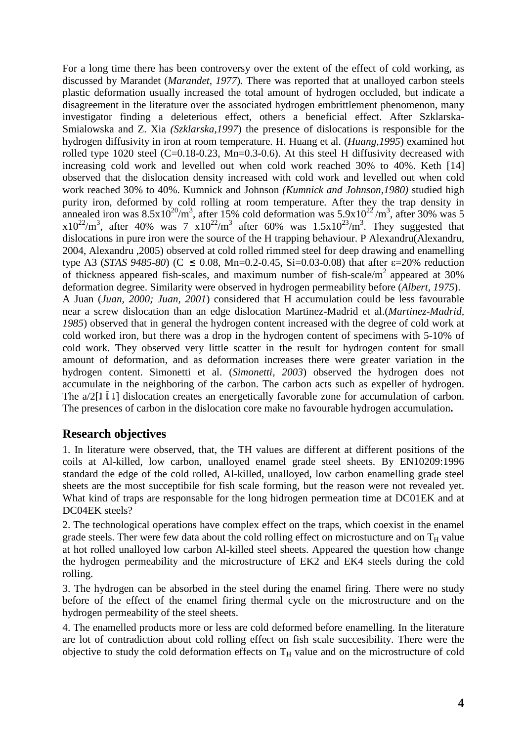For a long time there has been controversy over the extent of the effect of cold working, as discussed by Marandet (*Marandet, 1977*). There was reported that at unalloyed carbon steels plastic deformation usually increased the total amount of hydrogen occluded, but indicate a disagreement in the literature over the associated hydrogen embrittlement phenomenon, many investigator finding a deleterious effect, others a beneficial effect. After Szklarska-Smialowska and Z. Xia *(Szklarska,1997*) the presence of dislocations is responsible for the hydrogen diffusivity in iron at room temperature. H. Huang et al. (*Huang,1995*) examined hot rolled type 1020 steel (C=0.18-0.23, Mn=0.3-0.6). At this steel H diffusivity decreased with increasing cold work and levelled out when cold work reached 30% to 40%. Keth [14] observed that the dislocation density increased with cold work and levelled out when cold work reached 30% to 40%. Kumnick and Johnson *(Kumnick and Johnson,1980)* studied high purity iron, deformed by cold rolling at room temperature. After they the trap density in annealed iron was  $8.5x10^{20}/m^3$ , after 15% cold deformation was  $5.9x10^{22}/m^3$ , after 30% was 5  $x10^{22}/m^3$ , after 40% was 7  $x10^{22}/m^3$  after 60% was  $1.5x10^{23}/m^3$ . They suggested that dislocations in pure iron were the source of the H trapping behaviour. P Alexandru(Alexandru, 2004, Alexandru ,2005) observed at cold rolled rimmed steel for deep drawing and enamelling type A3 (*STAS 9485-80*) ( $C \le 0.08$ , Mn=0.2-0.45, Si=0.03-0.08) that after  $\varepsilon$ =20% reduction of thickness appeared fish-scales, and maximum number of fish-scale/ $m<sup>2</sup>$  appeared at 30% deformation degree. Similarity were observed in hydrogen permeability before (*Albert, 1975*). A Juan (*Juan, 2000; Juan, 2001*) considered that H accumulation could be less favourable near a screw dislocation than an edge dislocation Martinez-Madrid et al.(*Martinez-Madrid, 1985*) observed that in general the hydrogen content increased with the degree of cold work at cold worked iron, but there was a drop in the hydrogen content of specimens with 5-10% of cold work. They observed very little scatter in the result for hydrogen content for small amount of deformation, and as deformation increases there were greater variation in the hydrogen content. Simonetti et al. (*Simonetti, 2003*) observed the hydrogen does not accumulate in the neighboring of the carbon. The carbon acts such as expeller of hydrogen. The  $a/2[1\overline{1}1]$  dislocation creates an energetically favorable zone for accumulation of carbon. The presences of carbon in the dislocation core make no favourable hydrogen accumulation**.** 

# **Research objectives**

1. In literature were observed, that, the TH values are different at different positions of the coils at Al-killed, low carbon, unalloyed enamel grade steel sheets. By EN10209:1996 standard the edge of the cold rolled, Al-killed, unalloyed, low carbon enamelling grade steel sheets are the most succeptibile for fish scale forming, but the reason were not revealed yet. What kind of traps are responsable for the long hidrogen permeation time at DC01EK and at DC04EK steels?

2. The technological operations have complex effect on the traps, which coexist in the enamel grade steels. Ther were few data about the cold rolling effect on microstucture and on  $T_H$  value at hot rolled unalloyed low carbon Al-killed steel sheets. Appeared the question how change the hydrogen permeability and the microstructure of EK2 and EK4 steels during the cold rolling.

3. The hydrogen can be absorbed in the steel during the enamel firing. There were no study before of the effect of the enamel firing thermal cycle on the microstructure and on the hydrogen permeability of the steel sheets.

4. The enamelled products more or less are cold deformed before enamelling. In the literature are lot of contradiction about cold rolling effect on fish scale succesibility. There were the objective to study the cold deformation effects on  $T_H$  value and on the microstructure of cold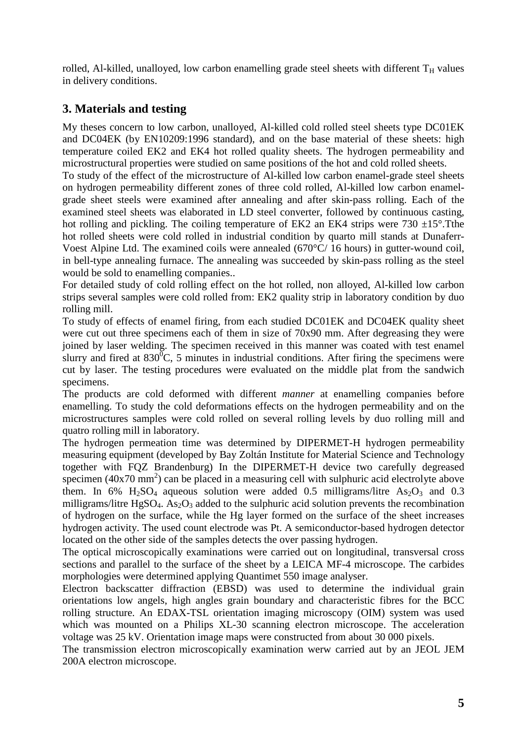rolled, Al-killed, unalloyed, low carbon enamelling grade steel sheets with different  $T_H$  values in delivery conditions.

# **3. Materials and testing**

My theses concern to low carbon, unalloyed, Al-killed cold rolled steel sheets type DC01EK and DC04EK (by EN10209:1996 standard), and on the base material of these sheets: high temperature coiled EK2 and EK4 hot rolled quality sheets. The hydrogen permeability and microstructural properties were studied on same positions of the hot and cold rolled sheets.

To study of the effect of the microstructure of Al-killed low carbon enamel-grade steel sheets on hydrogen permeability different zones of three cold rolled, Al-killed low carbon enamelgrade sheet steels were examined after annealing and after skin-pass rolling. Each of the examined steel sheets was elaborated in LD steel converter, followed by continuous casting, hot rolling and pickling. The coiling temperature of EK2 an EK4 strips were  $730 \pm 15^{\circ}$ . Tthe hot rolled sheets were cold rolled in industrial condition by quarto mill stands at Dunaferr-Voest Alpine Ltd. The examined coils were annealed (670°C/ 16 hours) in gutter-wound coil, in bell-type annealing furnace. The annealing was succeeded by skin-pass rolling as the steel would be sold to enamelling companies..

For detailed study of cold rolling effect on the hot rolled, non alloyed, Al-killed low carbon strips several samples were cold rolled from: EK2 quality strip in laboratory condition by duo rolling mill.

To study of effects of enamel firing, from each studied DC01EK and DC04EK quality sheet were cut out three specimens each of them in size of 70x90 mm. After degreasing they were joined by laser welding. The specimen received in this manner was coated with test enamel slurry and fired at  $830^{\circ}$ C, 5 minutes in industrial conditions. After firing the specimens were cut by laser. The testing procedures were evaluated on the middle plat from the sandwich specimens.

The products are cold deformed with different *manner* at enamelling companies before enamelling. To study the cold deformations effects on the hydrogen permeability and on the microstructures samples were cold rolled on several rolling levels by duo rolling mill and quatro rolling mill in laboratory.

The hydrogen permeation time was determined by DIPERMET-H hydrogen permeability measuring equipment (developed by Bay Zoltán Institute for Material Science and Technology together with FQZ Brandenburg) In the DIPERMET-H device two carefully degreased specimen  $(40x70 \text{ mm}^2)$  can be placed in a measuring cell with sulphuric acid electrolyte above them. In 6%  $H_2SO_4$  aqueous solution were added 0.5 milligrams/litre As<sub>2</sub>O<sub>3</sub> and 0.3 milligrams/litre  $HgSO_4$ . As<sub>2</sub>O<sub>3</sub> added to the sulphuric acid solution prevents the recombination of hydrogen on the surface, while the Hg layer formed on the surface of the sheet increases hydrogen activity. The used count electrode was Pt. A semiconductor-based hydrogen detector located on the other side of the samples detects the over passing hydrogen.

The optical microscopically examinations were carried out on longitudinal, transversal cross sections and parallel to the surface of the sheet by a LEICA MF-4 microscope. The carbides morphologies were determined applying Quantimet 550 image analyser.

Electron backscatter diffraction (EBSD) was used to determine the individual grain orientations low angels, high angles grain boundary and characteristic fibres for the BCC rolling structure. An EDAX-TSL orientation imaging microscopy (OIM) system was used which was mounted on a Philips XL-30 scanning electron microscope. The acceleration voltage was 25 kV. Orientation image maps were constructed from about 30 000 pixels.

The transmission electron microscopically examination werw carried aut by an JEOL JEM 200A electron microscope.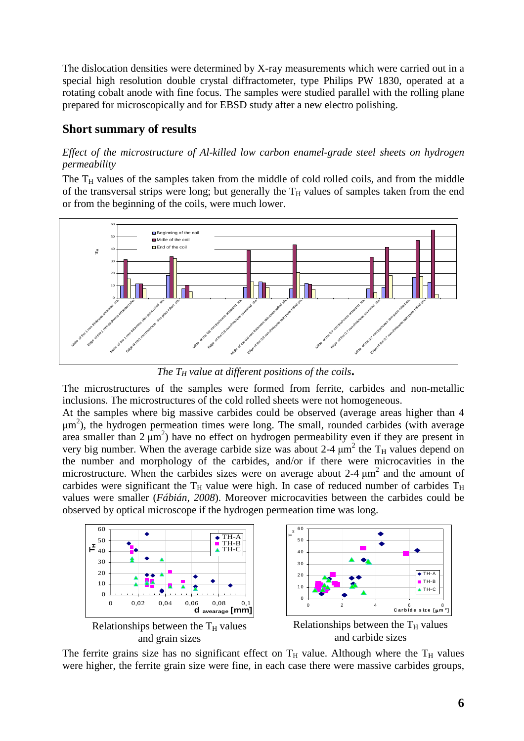The dislocation densities were determined by X-ray measurements which were carried out in a special high resolution double crystal diffractometer, type Philips PW 1830, operated at a rotating cobalt anode with fine focus. The samples were studied parallel with the rolling plane prepared for microscopically and for EBSD study after a new electro polishing.

# **Short summary of results**

## *Effect of the microstructure of Al-killed low carbon enamel-grade steel sheets on hydrogen permeability*

The  $T_H$  values of the samples taken from the middle of cold rolled coils, and from the middle of the transversal strips were long; but generally the  $T_H$  values of samples taken from the end or from the beginning of the coils, were much lower.



*The TH value at different positions of the coils***.** 

The microstructures of the samples were formed from ferrite, carbides and non-metallic inclusions. The microstructures of the cold rolled sheets were not homogeneous.

At the samples where big massive carbides could be observed (average areas higher than 4 µm 2 ), the hydrogen permeation times were long. The small, rounded carbides (with average area smaller than  $2 \mu m^2$ ) have no effect on hydrogen permeability even if they are present in very big number. When the average carbide size was about 2-4  $\mu$ m<sup>2</sup> the T<sub>H</sub> values depend on the number and morphology of the carbides, and/or if there were microcavities in the microstructure. When the carbides sizes were on average about  $2-4 \mu m^2$  and the amount of carbides were significant the  $T_H$  value were high. In case of reduced number of carbides  $T_H$ values were smaller (*Fábián, 2008*). Moreover microcavities between the carbides could be observed by optical microscope if the hydrogen permeation time was long.



The ferrite grains size has no significant effect on  $T_H$  value. Although where the  $T_H$  values were higher, the ferrite grain size were fine, in each case there were massive carbides groups,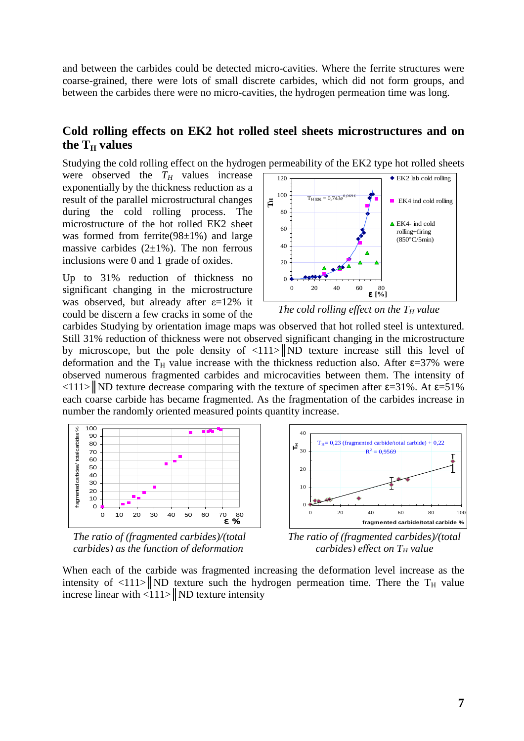and between the carbides could be detected micro-cavities. Where the ferrite structures were coarse-grained, there were lots of small discrete carbides, which did not form groups, and between the carbides there were no micro-cavities, the hydrogen permeation time was long.

# **Cold rolling effects on EK2 hot rolled steel sheets microstructures and on the TH values**

Studying the cold rolling effect on the hydrogen permeability of the EK2 type hot rolled sheets

were observed the  $T_H$  values increase exponentially by the thickness reduction as a result of the parallel microstructural changes during the cold rolling process. The microstructure of the hot rolled EK2 sheet was formed from ferrite $(98\pm1\%)$  and large massive carbides  $(2\pm 1\%)$ . The non ferrous inclusions were 0 and 1 grade of oxides.

Up to 31% reduction of thickness no significant changing in the microstructure was observed, but already after ε=12% it could be discern a few cracks in some of the



*The cold rolling effect on the TH value* 

carbides Studying by orientation image maps was observed that hot rolled steel is untextured. Still 31% reduction of thickness were not observed significant changing in the microstructure by microscope, but the pole density of  $\langle 111 \rangle$  ND texture increase still this level of deformation and the T<sub>H</sub> value increase with the thickness reduction also. After  $\epsilon$ =37% were observed numerous fragmented carbides and microcavities between them. The intensity of  $\langle 111 \rangle$  ND texture decrease comparing with the texture of specimen after  $\epsilon$ =31%. At  $\epsilon$ =51% each coarse carbide has became fragmented. As the fragmentation of the carbides increase in number the randomly oriented measured points quantity increase.



*The ratio of (fragmented carbides)/(total carbides) as the function of deformation* 



*The ratio of (fragmented carbides)/(total carbides)* effect on  $T<sub>H</sub>$  *value* 

When each of the carbide was fragmented increasing the deformation level increase as the intensity of  $\langle 111 \rangle$  ND texture such the hydrogen permeation time. There the T<sub>H</sub> value increse linear with  $\langle 111 \rangle$  ND texture intensity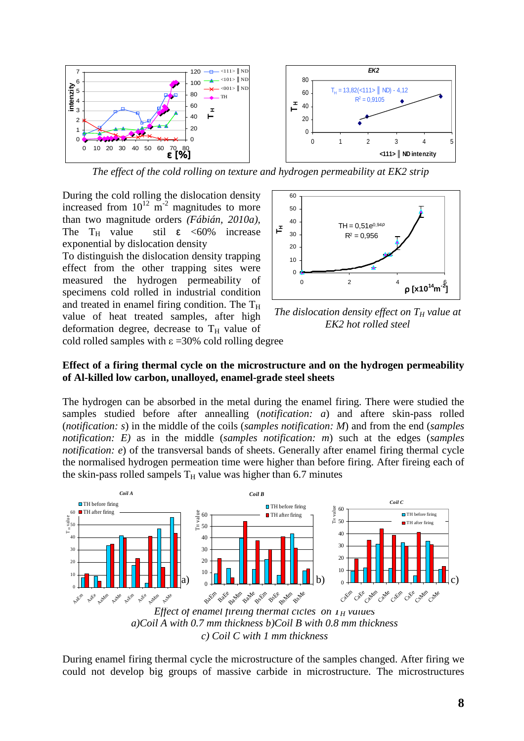

*The effect of the cold rolling on texture and hydrogen permeability at EK2 strip* 

During the cold rolling the dislocation density increased from  $10^{12}$  m<sup>-2</sup> magnitudes to more than two magnitude orders *(Fábián, 2010a)*, The  $T_H$  value stil  $\varepsilon$  <60% increase exponential by dislocation density

To distinguish the dislocation density trapping effect from the other trapping sites were measured the hydrogen permeability of specimens cold rolled in industrial condition and treated in enamel firing condition. The  $T_H$ value of heat treated samples, after high deformation degree, decrease to  $T_H$  value of cold rolled samples with  $\varepsilon$  =30% cold rolling degree



*The dislocation density effect on TH value at EK2 hot rolled steel*

### **Effect of a firing thermal cycle on the microstructure and on the hydrogen permeability of Al-killed low carbon, unalloyed, enamel-grade steel sheets**

The hydrogen can be absorbed in the metal during the enamel firing. There were studied the samples studied before after annealling (*notification: a*) and aftere skin-pass rolled (*notification: s*) in the middle of the coils (*samples notification: M*) and from the end (*samples notification: E)* as in the middle (*samples notification: m*) such at the edges (*samples notification: e*) of the transversal bands of sheets. Generally after enamel firing thermal cycle the normalised hydrogen permeation time were higher than before firing. After fireing each of the skin-pass rolled sampels  $T_H$  value was higher than 6.7 minutes



*c) Coil C with 1 mm thickness* 

During enamel firing thermal cycle the microstructure of the samples changed. After firing we could not develop big groups of massive carbide in microstructure. The microstructures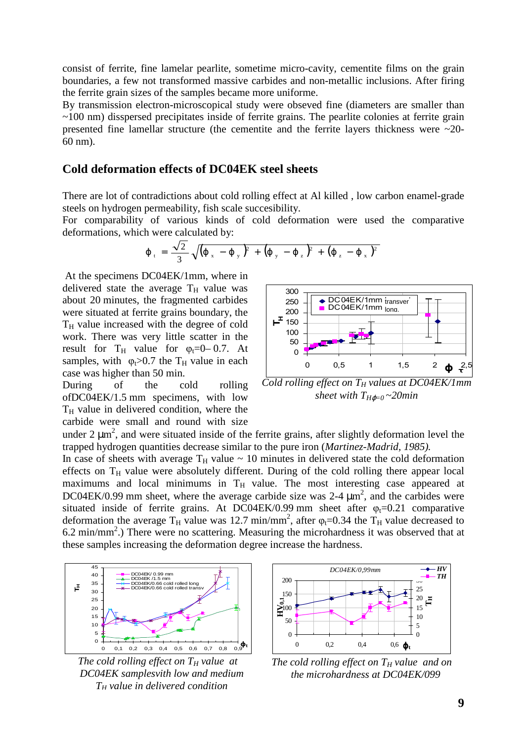consist of ferrite, fine lamelar pearlite, sometime micro-cavity, cementite films on the grain boundaries, a few not transformed massive carbides and non-metallic inclusions. After firing the ferrite grain sizes of the samples became more uniforme.

By transmission electron-microscopical study were obseved fine (diameters are smaller than ~100 nm) disspersed precipitates inside of ferrite grains. The pearlite colonies at ferrite grain presented fine lamellar structure (the cementite and the ferrite layers thickness were ~20- 60 nm).

## **Cold deformation effects of DC04EK steel sheets**

There are lot of contradictions about cold rolling effect at Al killed , low carbon enamel-grade steels on hydrogen permeability, fish scale succesibility.

For comparability of various kinds of cold deformation were used the comparative deformations, which were calculated by:

$$
\varphi_{t} = \frac{\sqrt{2}}{3} \sqrt{(\varphi_{x} - \varphi_{y})^{2} + (\varphi_{y} - \varphi_{z})^{2} + (\varphi_{z} - \varphi_{x})^{2}}
$$

 At the specimens DC04EK/1mm, where in delivered state the average  $T_H$  value was about 20 minutes, the fragmented carbides were situated at ferrite grains boundary, the  $T_H$  value increased with the degree of cold work. There was very little scatter in the result for  $T_H$  value for  $\varphi_t = 0$ –0.7. At samples, with  $\varphi_t > 0.7$  the T<sub>H</sub> value in each case was higher than 50 min.

During of the cold rolling ofDC04EK/1.5 mm specimens, with low  $T_H$  value in delivered condition, where the carbide were small and round with size



*Cold rolling effect on TH values at DC04EK/1mm sheet with*  $T_{H\phi=0} \sim 20$ *min* 

under 2  $\mu$ m<sup>2</sup>, and were situated inside of the ferrite grains, after slightly deformation level the trapped hydrogen quantities decrease similar to the pure iron (*Martinez-Madrid, 1985).*

In case of sheets with average  $T_H$  value  $\sim 10$  minutes in delivered state the cold deformation effects on  $T_H$  value were absolutely different. During of the cold rolling there appear local maximums and local minimums in  $T_H$  value. The most interesting case appeared at DC04EK/0.99 mm sheet, where the average carbide size was 2-4  $\mu$ m<sup>2</sup>, and the carbides were situated inside of ferrite grains. At  $D\text{CO4EK}/0.99$  mm sheet after  $\varphi_t$ =0.21 comparative deformation the average  $T_H$  value was 12.7 min/mm<sup>2</sup>, after  $\varphi_t$ =0.34 the  $T_H$  value decreased to  $6.2 \text{ min/mm}^2$ .) There were no scattering. Measuring the microhardness it was observed that at these samples increasing the deformation degree increase the hardness.



*The cold rolling effect on TH value at DC04EK samplesvith low and medium T<sup>H</sup> value in delivered condition*



*The cold rolling effect on TH value and on the microhardness at DC04EK/099*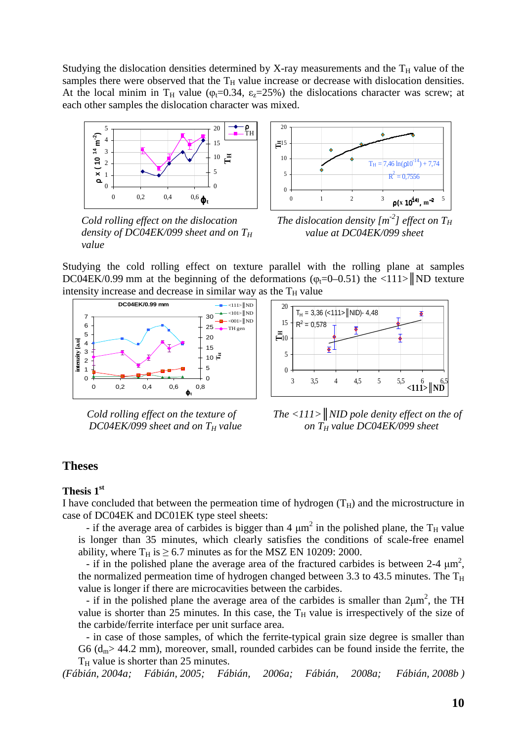Studying the dislocation densities determined by X-ray measurements and the  $T_H$  value of the samples there were observed that the  $T_H$  value increase or decrease with dislocation densities. At the local minim in T<sub>H</sub> value ( $\varphi$ <sub>t</sub>=0.34,  $\varepsilon$ <sub>z</sub>=25%) the dislocations character was screw; at each other samples the dislocation character was mixed.



*Cold rolling effect on the dislocation density of DC04EK/099 sheet and on T<sup>H</sup> value*



*The dislocation density [m-2 ] effect on T<sup>H</sup> value at DC04EK/099 sheet*

Studying the cold rolling effect on texture parallel with the rolling plane at samples DC04EK/0.99 mm at the beginning of the deformations ( $\varphi$ <sub>t</sub>=0–0.51) the <111> ND texture intensity increase and decrease in similar way as the  $T_H$  value



*Cold rolling effect on the texture of DC04EK/099 sheet and on TH value* 



*The <111>║NID pole denity effect on the of on TH value DC04EK/099 sheet* 

### **Theses**

#### **Thesis 1st**

I have concluded that between the permeation time of hydrogen  $(T_H)$  and the microstructure in case of DC04EK and DC01EK type steel sheets:

- if the average area of carbides is bigger than 4  $\mu$ m<sup>2</sup> in the polished plane, the T<sub>H</sub> value is longer than 35 minutes, which clearly satisfies the conditions of scale-free enamel ability, where  $T_H$  is  $\geq$  6.7 minutes as for the MSZ EN 10209: 2000.

- if in the polished plane the average area of the fractured carbides is between 2-4  $\mu$ m<sup>2</sup>, the normalized permeation time of hydrogen changed between 3.3 to 43.5 minutes. The  $T_H$ value is longer if there are microcavities between the carbides.

- if in the polished plane the average area of the carbides is smaller than  $2\mu m^2$ , the TH value is shorter than 25 minutes. In this case, the  $T_H$  value is irrespectively of the size of the carbide/ferrite interface per unit surface area.

- in case of those samples, of which the ferrite-typical grain size degree is smaller than G6 ( $d_m$  > 44.2 mm), moreover, small, rounded carbides can be found inside the ferrite, the  $T_H$  value is shorter than 25 minutes.

*(Fábián, 2004a; Fábián, 2005; Fábián, 2006a; Fábián, 2008a; Fábián, 2008b )*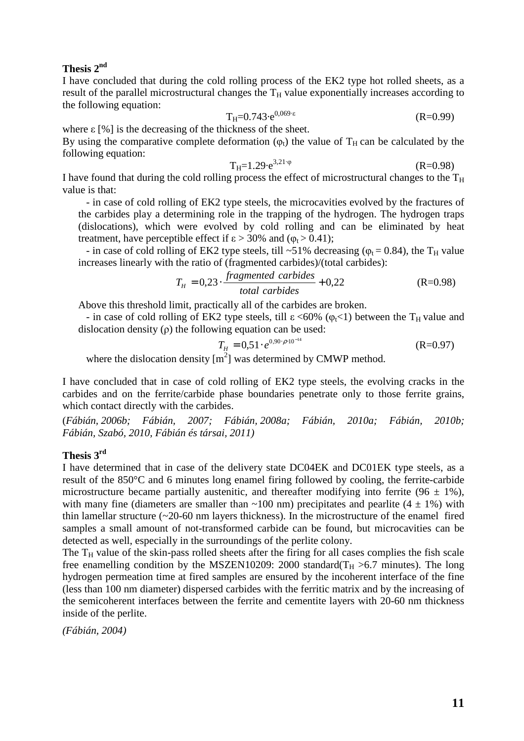### **Thesis 2nd**

I have concluded that during the cold rolling process of the EK2 type hot rolled sheets, as a result of the parallel microstructural changes the  $T_H$  value exponentially increases according to the following equation:

$$
T_{H} = 0.743 \cdot e^{0.069 \cdot \epsilon} \tag{R} = 0.99
$$

where  $\epsilon$  [%] is the decreasing of the thickness of the sheet.

By using the comparative complete deformation  $(\varphi_t)$  the value of T<sub>H</sub> can be calculated by the following equation:

$$
T_{H} = 1.29 \cdot e^{3.21 \cdot \phi} \tag{R=0.98}
$$

I have found that during the cold rolling process the effect of microstructural changes to the  $T_H$ value is that:

- in case of cold rolling of EK2 type steels, the microcavities evolved by the fractures of the carbides play a determining role in the trapping of the hydrogen. The hydrogen traps (dislocations), which were evolved by cold rolling and can be eliminated by heat treatment, have perceptible effect if  $\epsilon > 30\%$  and  $(\varphi_t > 0.41)$ ;

- in case of cold rolling of EK2 type steels, till ~51% decreasing ( $\varphi_t$  = 0.84), the T<sub>H</sub> value increases linearly with the ratio of (fragmented carbides)/(total carbides):

$$
T_H = 0.23 \cdot \frac{fragmented \ carbides}{total \ carbides} + 0.22
$$
 (R=0.98)

Above this threshold limit, practically all of the carbides are broken.

- in case of cold rolling of EK2 type steels, till  $\varepsilon$  <60% ( $\varphi$ <sub>t</sub><1) between the T<sub>H</sub> value and dislocation density  $(\rho)$  the following equation can be used:

$$
T_H = 0.51 \cdot e^{0.90 \cdot \rho \cdot 10^{-14}} \tag{R=0.97}
$$

where the dislocation density  $[m^2]$  was determined by CMWP method.

I have concluded that in case of cold rolling of EK2 type steels, the evolving cracks in the carbides and on the ferrite/carbide phase boundaries penetrate only to those ferrite grains, which contact directly with the carbides.

(*Fábián, 2006b; Fábián, 2007; Fábián, 2008a; Fábián, 2010a; Fábián, 2010b; Fábián, Szabó, 2010, Fábián és társai, 2011)* 

### **Thesis 3rd**

I have determined that in case of the delivery state DC04EK and DC01EK type steels, as a result of the 850°C and 6 minutes long enamel firing followed by cooling, the ferrite-carbide microstructure became partially austenitic, and thereafter modifying into ferrite (96  $\pm$  1%), with many fine (diameters are smaller than  $\sim$ 100 nm) precipitates and pearlite (4  $\pm$  1%) with thin lamellar structure  $(\sim 20 - 60$  nm layers thickness). In the microstructure of the enamel fired samples a small amount of not-transformed carbide can be found, but microcavities can be detected as well, especially in the surroundings of the perlite colony.

The  $T_H$  value of the skin-pass rolled sheets after the firing for all cases complies the fish scale free enamelling condition by the MSZEN10209: 2000 standard( $T_H > 6.7$  minutes). The long hydrogen permeation time at fired samples are ensured by the incoherent interface of the fine (less than 100 nm diameter) dispersed carbides with the ferritic matrix and by the increasing of the semicoherent interfaces between the ferrite and cementite layers with 20-60 nm thickness inside of the perlite.

*(Fábián, 2004)*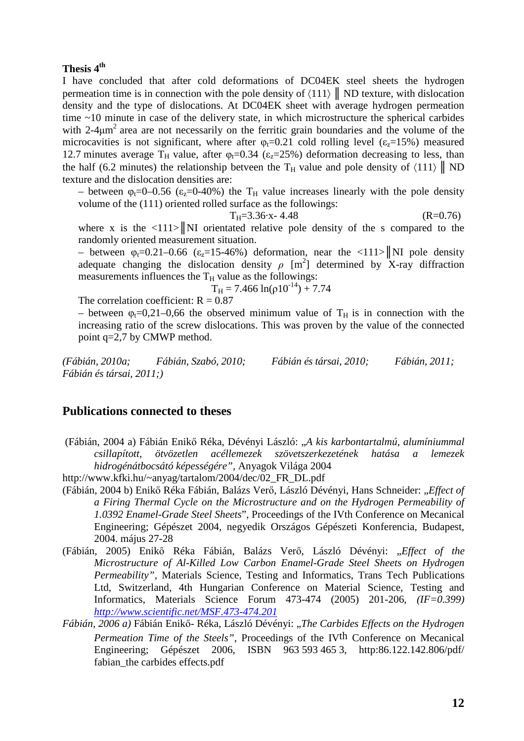### **Thesis 4th**

I have concluded that after cold deformations of DC04EK steel sheets the hydrogen permeation time is in connection with the pole density of  $\langle 111 \rangle$  ND texture, with dislocation density and the type of dislocations. At DC04EK sheet with average hydrogen permeation time ~10 minute in case of the delivery state, in which microstructure the spherical carbides with  $2-4\mu m^2$  area are not necessarily on the ferritic grain boundaries and the volume of the microcavities is not significant, where after  $\varphi_t = 0.21$  cold rolling level ( $\varepsilon_t = 15\%$ ) measured 12.7 minutes average T<sub>H</sub> value, after  $\varphi$ <sub>t</sub>=0.34 ( $\varepsilon$ <sub>z</sub>=25%) deformation decreasing to less, than the half (6.2 minutes) the relationship betveen the T<sub>H</sub> value and pole density of  $\langle 111 \rangle \parallel \text{ND}$ texture and the dislocation densities are:

– between  $\varphi_t = 0$ –0.56 ( $\varepsilon_z = 0$ –40%) the T<sub>H</sub> value increases linearly with the pole density volume of the (111) oriented rolled surface as the followings:

$$
T_{H} = 3.36 \cdot x - 4.48 \tag{R=0.76}
$$

where x is the  $\langle 111 \rangle$  NI orientated relative pole density of the s compared to the randomly oriented measurement situation.

– between  $\varphi_t$ =0.21–0.66 ( $\varepsilon$ <sub>z</sub>=15-46%) deformation, near the <111>||NI pole density adequate changing the dislocation density  $\rho$  [m<sup>2</sup>] determined by X-ray diffraction measurements influences the  $T_H$  value as the followings:

 $T_H = 7.466 \ln(\rho 10^{-14}) + 7.74$ 

The correlation coefficient:  $R = 0.87$ 

– between  $\varphi_t = 0.21 - 0.66$  the observed minimum value of T<sub>H</sub> is in connection with the increasing ratio of the screw dislocations. This was proven by the value of the connected point q=2,7 by CMWP method.

*(Fábián, 2010a; Fábián, Szabó, 2010; Fábián és társai, 2010; Fábián, 2011; Fábián és társai, 2011;)* 

### **Publications connected to theses**

 (Fábián, 2004 a) Fábián Enikő Réka, Dévényi László: "*A kis karbontartalmú, alumíniummal csillapított, ötvözetlen acéllemezek szövetszerkezetének hatása a lemezek hidrogénátbocsátó képességére",* Anyagok Világa 2004

http://www.kfki.hu/~anyag/tartalom/2004/dec/02\_FR\_DL.pdf

- (Fábián, 2004 b) Enikő Réka Fábián, Balázs Verő, László Dévényi, Hans Schneider: "*Effect of a Firing Thermal Cycle on the Microstructure and on the Hydrogen Permeability of 1.0392 Enamel-Grade Steel Sheets*", Proceedings of the IVth Conference on Mecanical Engineering; Gépészet 2004, negyedik Országos Gépészeti Konferencia, Budapest, 2004. május 27-28
- (Fábián, 2005) Enikő Réka Fábián, Balázs Verő, László Dévényi: "*Effect of the Microstructure of Al-Killed Low Carbon Enamel-Grade Steel Sheets on Hydrogen Permeability",* Materials Science, Testing and Informatics, Trans Tech Publications Ltd, Switzerland, 4th Hungarian Conference on Material Science, Testing and Informatics, Materials Science Forum 473-474 (2005) 201-206, *(IF=0.399) http://www.scientific.net/MSF.473-474.201*
- *Fábián, 2006 a)* Fábián Enikő- Réka, László Dévényi: "*The Carbides Effects on the Hydrogen Permeation Time of the Steels"*, Proceedings of the IVth Conference on Mecanical Engineering; Gépészet 2006, ISBN 963 593 465 3, http:86.122.142.806/pdf/ fabian the carbides effects.pdf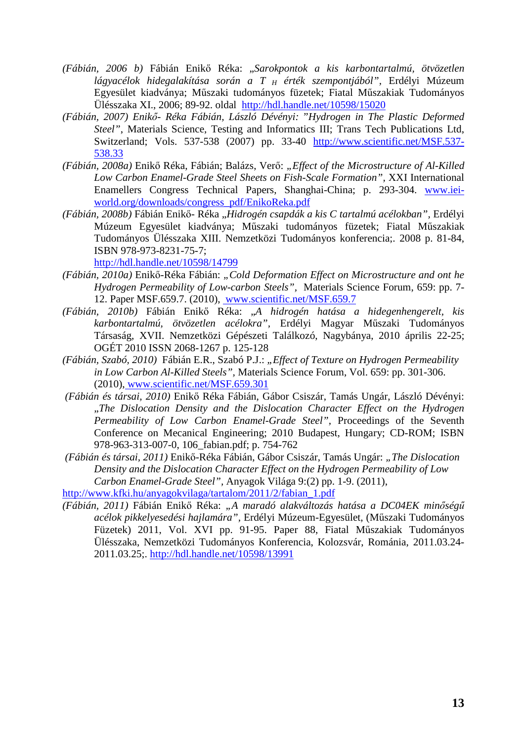- *(Fábián, 2006 b)* Fábián Enikő Réka: "*Sarokpontok a kis karbontartalmú, ötvözetlen lágyacélok hidegalakítása során a T H érték szempontjából",* Erdélyi Múzeum Egyesület kiadványa; Műszaki tudományos füzetek; Fiatal Műszakiak Tudományos Ülésszaka XI., 2006; 89-92. oldal http://hdl.handle.net/10598/15020
- *(Fábián, 2007) Enikő Réka Fábián, László Dévényi: "Hydrogen in The Plastic Deformed Steel"*, Materials Science, Testing and Informatics III; Trans Tech Publications Ltd, Switzerland; Vols. 537-538 (2007) pp. 33-40 http://www.scientific.net/MSF.537- 538.33
- *(Fábián, 2008a)* Enikő Réka, Fábián; Balázs, Verő: *"Effect of the Microstructure of Al-Killed Low Carbon Enamel-Grade Steel Sheets on Fish-Scale Formation",* XXI International Enamellers Congress Technical Papers, Shanghai-China; p. 293-304. www.ieiworld.org/downloads/congress\_pdf/EnikoReka.pdf
- *(Fábián, 2008b)* Fábián Enikő- Réka "*Hidrogén csapdák a kis C tartalmú acélokban",* Erdélyi Múzeum Egyesület kiadványa; Műszaki tudományos füzetek; Fiatal Műszakiak Tudományos Ülésszaka XIII. Nemzetközi Tudományos konferencia;. 2008 p. 81-84, ISBN 978-973-8231-75-7;

http://hdl.handle.net/10598/14799

- *(Fábián, 2010a)* Enikő-Réka Fábián: *"Cold Deformation Effect on Microstructure and ont he Hydrogen Permeability of Low-carbon Steels",* Materials Science Forum, 659: pp. 7- 12. Paper MSF.659.7. (2010), www.scientific.net/MSF.659.7
- *(Fábián, 2010b)* Fábián Enikő Réka: "*A hidrogén hatása a hidegenhengerelt, kis karbontartalmú, ötvözetlen acélokra",* Erdélyi Magyar Műszaki Tudományos Társaság, XVII. Nemzetközi Gépészeti Találkozó, Nagybánya, 2010 április 22-25; OGÉT 2010 ISSN 2068-1267 p. 125-128
- *(Fábián, Szabó, 2010)* Fábián E.R., Szabó P.J.: *"Effect of Texture on Hydrogen Permeability in Low Carbon Al-Killed Steels",* Materials Science Forum, Vol. 659: pp. 301-306. (2010), www.scientific.net/MSF.659.301
- *(Fábián és társai, 2010)* Enikő Réka Fábián, Gábor Csiszár, Tamás Ungár, László Dévényi: "*The Dislocation Density and the Dislocation Character Effect on the Hydrogen Permeability of Low Carbon Enamel-Grade Steel",* Proceedings of the Seventh Conference on Mecanical Engineering; 2010 Budapest, Hungary; CD-ROM; ISBN 978-963-313-007-0, 106\_fabian.pdf; p. 754-762
- *(Fábián és társai, 2011)* Enikő-Réka Fábián, Gábor Csiszár, Tamás Ungár: *"The Dislocation Density and the Dislocation Character Effect on the Hydrogen Permeability of Low Carbon Enamel-Grade Steel",* Anyagok Világa 9:(2) pp. 1-9. (2011),

http://www.kfki.hu/anyagokvilaga/tartalom/2011/2/fabian\_1.pdf

*(Fábián, 2011)* Fábián Enikő Réka: *"A maradó alakváltozás hatása a DC04EK minőségű acélok pikkelyesedési hajlamára",* Erdélyi Múzeum-Egyesület, (Műszaki Tudományos Füzetek) 2011, Vol. XVI pp. 91-95. Paper 88, Fiatal Műszakiak Tudományos Ülésszaka, Nemzetközi Tudományos Konferencia, Kolozsvár, Románia, 2011.03.24- 2011.03.25;. http://hdl.handle.net/10598/13991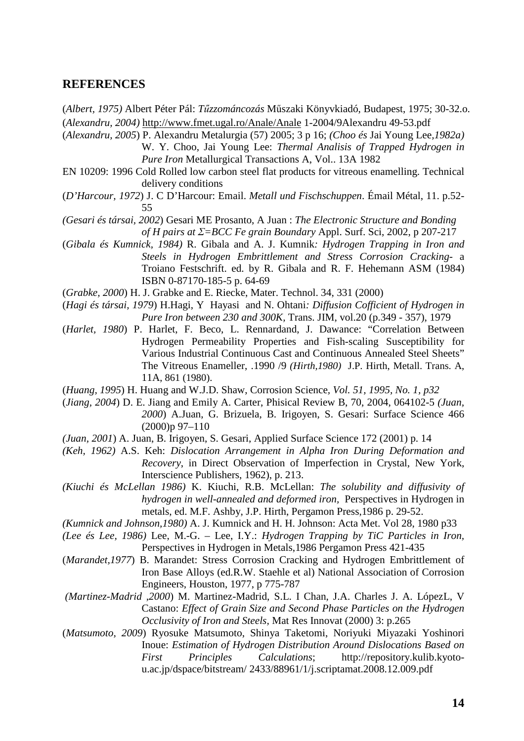### **REFERENCES**

(*Albert, 1975)* Albert Péter Pál: *Tűzzománcozás* Műszaki Könyvkiadó, Budapest, 1975; 30-32.o. (*Alexandru, 2004)* http://www.fmet.ugal.ro/Anale/Anale 1-2004/9Alexandru 49-53.pdf

(*Alexandru, 2005*) P. Alexandru Metalurgia (57) 2005; 3 p 16; *(Choo és* Jai Young Lee*,1982a)* 

W. Y. Choo, Jai Young Lee: *Thermal Analisis of Trapped Hydrogen in Pure Iron* Metallurgical Transactions A, Vol.. 13A 1982

- EN 10209: 1996 Cold Rolled low carbon steel flat products for vitreous enamelling. Technical delivery conditions
- (*D'Harcour, 1972*) J. C D'Harcour: Email. *Metall und Fischschuppen*. Émail Métal, 11. p.52- 55

*(Gesari és társai, 2002*) Gesari ME Prosanto, A Juan : *The Electronic Structure and Bonding of H pairs at Σ=BCC Fe grain Boundary* Appl. Surf. Sci, 2002, p 207-217

- (*Gibala és Kumnick, 1984)* R. Gibala and A. J. Kumnik*: Hydrogen Trapping in Iron and Steels in Hydrogen Embrittlement and Stress Corrosion Cracking*- a Troiano Festschrift. ed. by R. Gibala and R. F. Hehemann ASM (1984) ISBN 0-87170-185-5 p. 64-69
- (*Grabke, 2000*) H. J. Grabke and E. Riecke, Mater. Technol. 34, 331 (2000)
- (*Hagi és társai, 1979*) H.Hagi, Y Hayasiand N. Ohtani*: Diffusion Cofficient of Hydrogen in Pure Iron between 230 and 300K,* Trans. JIM, vol.20 (p.349 - 357), 1979
- (*Harlet, 1980*) P. Harlet, F. Beco, L. Rennardand, J. Dawance: "Correlation Between Hydrogen Permeability Properties and Fish-scaling Susceptibility for Various Industrial Continuous Cast and Continuous Annealed Steel Sheets" The Vitreous Enameller, .1990 /9 *(Hirth,1980)* J.P. Hirth, Metall. Trans. A, 11A, 861 (1980).
- (*Huang, 1995*) H. Huang and W.J.D. Shaw, Corrosion Science*, Vol. 51, 1995, No. 1, p32*
- (*Jiang, 2004*) D. E. Jiang and Emily A. Carter, Phisical Review B, 70, 2004, 064102-5 *(Juan, 2000*) A.Juan, G. Brizuela, B. Irigoyen, S. Gesari: Surface Science 466 (2000)p 97–110
- *(Juan, 2001*) A. Juan, B. Irigoyen, S. Gesari, Applied Surface Science 172 (2001) p. 14
- *(Keh, 1962)* A.S. Keh: *Dislocation Arrangement in Alpha Iron During Deformation and Recovery*, in Direct Observation of Imperfection in Crystal, New York, Interscience Publishers, 1962), p. 213.
- *(Kiuchi és McLellan 1986)* K. Kiuchi, R.B. McLellan: *The solubility and diffusivity of hydrogen in well-annealed and deformed iron,* Perspectives in Hydrogen in metals, ed. M.F. Ashby, J.P. Hirth, Pergamon Press,1986 p. 29-52.
- *(Kumnick and Johnson,1980)* A. J. Kumnick and H. H. Johnson: Acta Met. Vol 28, 1980 p33
- *(Lee és Lee, 1986)* Lee, M.-G. Lee, I.Y.: *Hydrogen Trapping by TiC Particles in Iron,*

Perspectives in Hydrogen in Metals,1986 Pergamon Press 421-435

- (*Marandet,1977*) B. Marandet: Stress Corrosion Cracking and Hydrogen Embrittlement of Iron Base Alloys (ed.R.W. Staehle et al) National Association of Corrosion Engineers, Houston, 1977, p 775-787
- *(Martinez-Madrid ,2000*) M. Martinez-Madrid, S.L. I Chan, J.A. Charles J. A. LópezL, V Castano: *Effect of Grain Size and Second Phase Particles on the Hydrogen Occlusivity of Iron and Steels,* Mat Res Innovat (2000) 3: p.265
- (*Matsumoto, 2009*) Ryosuke Matsumoto, Shinya Taketomi, Noriyuki Miyazaki Yoshinori Inoue: *Estimation of Hydrogen Distribution Around Dislocations Based on First Principles Calculations*; http://repository.kulib.kyotou.ac.jp/dspace/bitstream/ 2433/88961/1/j.scriptamat.2008.12.009.pdf